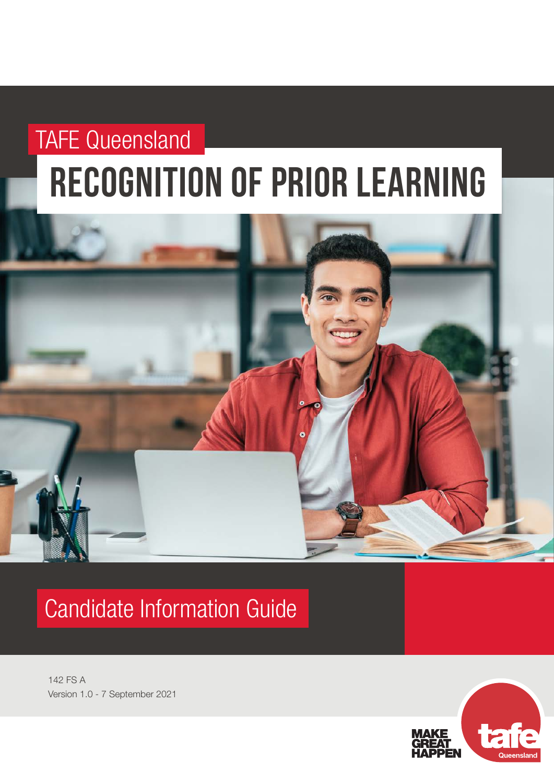# recognition of prior learning TAFE Queensland



# Candidate Information Guide

142 FS A Version 1.0 - 7 September 2021

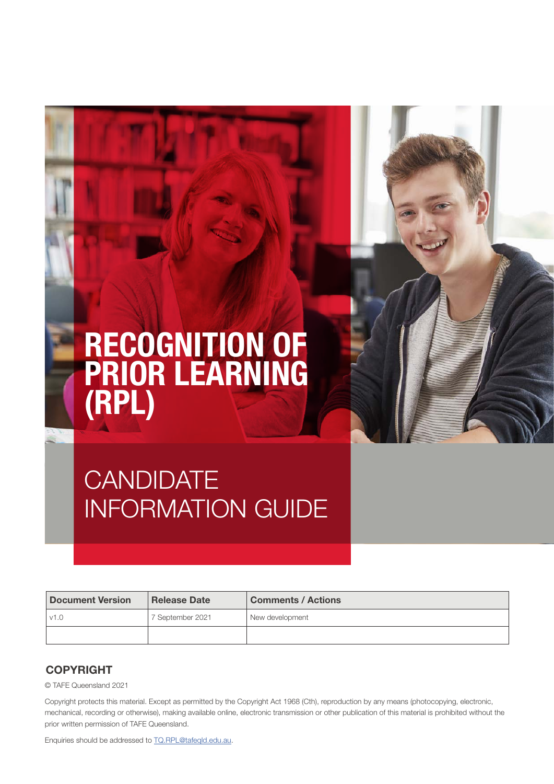# RECOGNITION OF PRIOR LEARNING (RPL)



# **CANDIDATE** INFORMATION GUIDE

| <b>Document Version</b> | <b>Release Date</b> | <b>Comments / Actions</b> |
|-------------------------|---------------------|---------------------------|
| v1.0                    | 7 September 2021    | New development           |
|                         |                     |                           |

#### **COPYRIGHT**

© TAFE Queensland 2021

Copyright protects this material. Except as permitted by the Copyright Act 1968 (Cth), reproduction by any means (photocopying, electronic, mechanical, recording or otherwise), making available online, electronic transmission or other publication of this material is prohibited without the prior written permission of TAFE Queensland.

Enquiries should be addressed to [TQ.RPL@tafeqld.edu.au.](mailto:TQ.RPL@tafeqld.edu.au)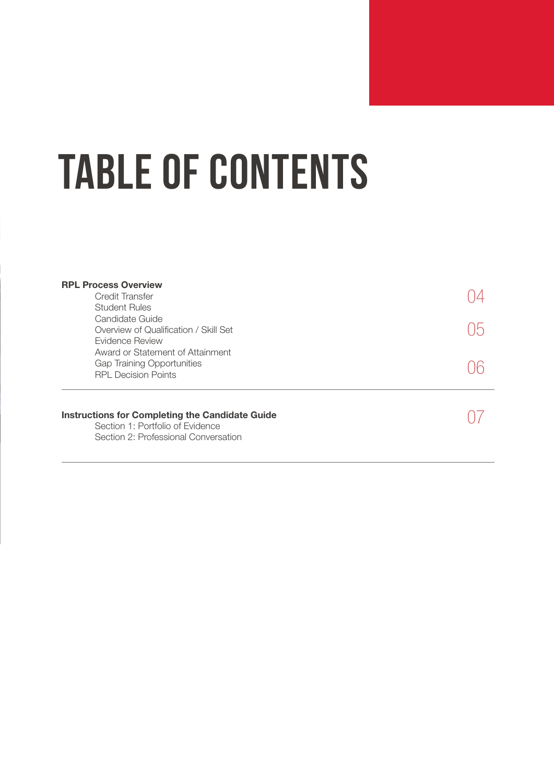# TABLE OF CONTENTS

| <b>RPL Process Overview</b><br>Credit Transfer<br><b>Student Rules</b>                                                             |  |  |
|------------------------------------------------------------------------------------------------------------------------------------|--|--|
| Candidate Guide<br>Overview of Qualification / Skill Set<br>Evidence Review                                                        |  |  |
| Award or Statement of Attainment<br><b>Gap Training Opportunities</b><br><b>RPL Decision Points</b>                                |  |  |
| <b>Instructions for Completing the Candidate Guide</b><br>Section 1: Portfolio of Evidence<br>Section 2: Professional Conversation |  |  |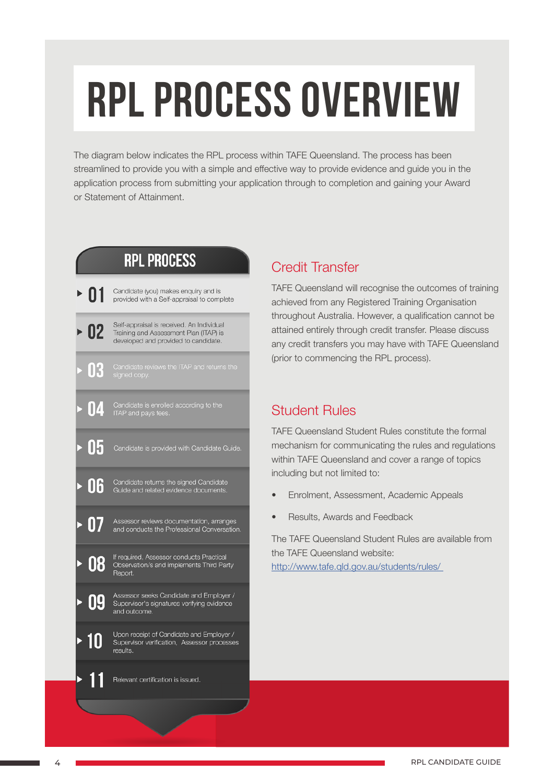# RPL PROCESS OVERVIEW

The diagram below indicates the RPL process within TAFE Queensland. The process has been streamlined to provide you with a simple and effective way to provide evidence and guide you in the application process from submitting your application through to completion and gaining your Award or Statement of Attainment.

# **RPL PROCESS**



# Credit Transfer

TAFE Queensland will recognise the outcomes of training achieved from any Registered Training Organisation throughout Australia. However, a qualification cannot be attained entirely through credit transfer. Please discuss any credit transfers you may have with TAFE Queensland (prior to commencing the RPL process).

## Student Rules

TAFE Queensland Student Rules constitute the formal mechanism for communicating the rules and regulations within TAFE Queensland and cover a range of topics including but not limited to:

- Enrolment, Assessment, Academic Appeals
- Results, Awards and Feedback

The TAFE Queensland Student Rules are available from the TAFE Queensland website: <http://www.tafe.qld.gov.au/students/rules/>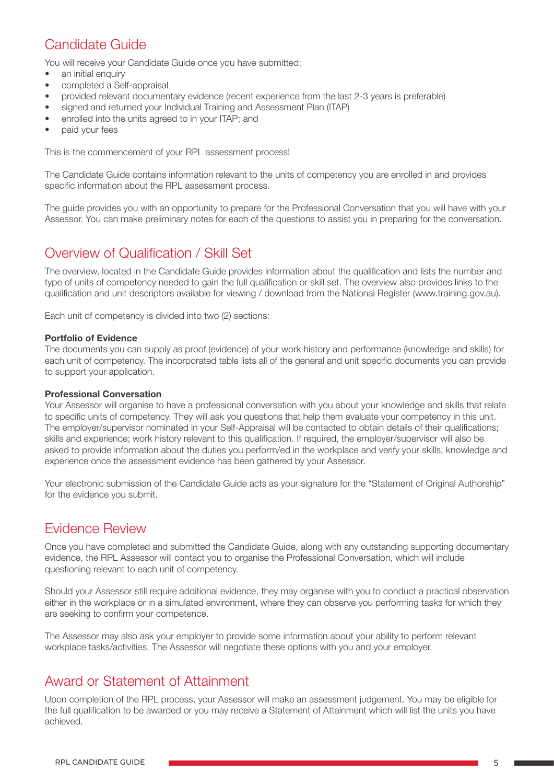# Candidate Guide

You will receive your Candidate Guide once you have submitted:

- an initial enquiry
- completed a Self-appraisal
- provided relevant documentary evidence (recent experience from the last 2-3 years is preferable)
- signed and returned your Individual Training and Assessment Plan (ITAP)
- enrolled into the units agreed to in your ITAP; and
- paid your fees

This is the commencement of your RPL assessment process!

The Candidate Guide contains information relevant to the units of competency you are enrolled in and provides specific information about the RPL assessment process.

The guide provides you with an opportunity to prepare for the Professional Conversation that you will have with your Assessor. You can make preliminary notes for each of the questions to assist you in preparing for the conversation.

### Overview of Qualification / Skill Set

The overview, located in the Candidate Guide provides information about the qualification and lists the number and type of units of competency needed to gain the full qualification or skill set. The overview also provides links to the qualification and unit descriptors available for viewing / download from the National Register (www.training.gov.au).

Each unit of competency is divided into two (2) sections:

#### Portfolio of Evidence

The documents you can supply as proof (evidence) of your work history and performance (knowledge and skills) for each unit of competency. The incorporated table lists all of the general and unit specific documents you can provide to support your application.

#### Professional Conversation

Your Assessor will organise to have a professional conversation with you about your knowledge and skills that relate to specific units of competency. They will ask you questions that help them evaluate your competency in this unit. The employer/supervisor nominated in your Self-Appraisal will be contacted to obtain details of their qualifications; skills and experience; work history relevant to this qualification. If required, the employer/supervisor will also be asked to provide information about the duties you perform/ed in the workplace and verify your skills, knowledge and experience once the assessment evidence has been gathered by your Assessor.

Your electronic submission of the Candidate Guide acts as your signature for the "Statement of Original Authorship" for the evidence you submit.

#### Evidence Review

Once you have completed and submitted the Candidate Guide, along with any outstanding supporting documentary evidence, the RPL Assessor will contact you to organise the Professional Conversation, which will include questioning relevant to each unit of competency.

Should your Assessor still require additional evidence, they may organise with you to conduct a practical observation either in the workplace or in a simulated environment, where they can observe you performing tasks for which they are seeking to confirm your competence.

The Assessor may also ask your employer to provide some information about your ability to perform relevant workplace tasks/activities. The Assessor will negotiate these options with you and your employer.

### Award or Statement of Attainment

Upon completion of the RPL process, your Assessor will make an assessment judgement. You may be eligible for the full qualification to be awarded or you may receive a Statement of Attainment which will list the units you have achieved.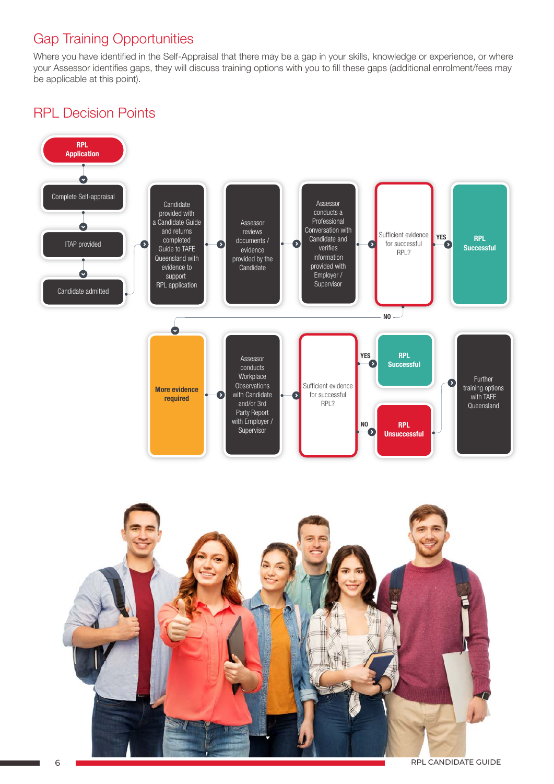# Gap Training Opportunities

Where you have identified in the Self-Appraisal that there may be a gap in your skills, knowledge or experience, or where your Assessor identifies gaps, they will discuss training options with you to fill these gaps (additional enrolment/fees may be applicable at this point).

## RPL Decision Points



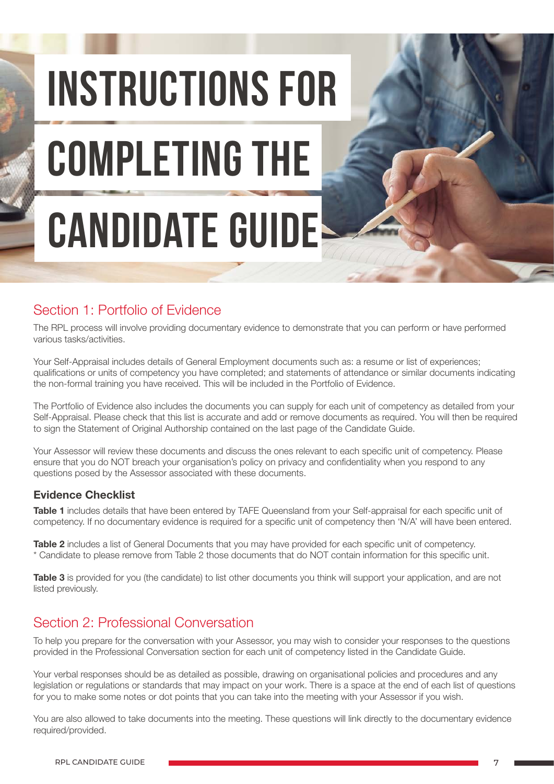INSTRUCTIONS FOR COMPLETING THE CANDIDATE GUIDE!

## Section 1: Portfolio of Evidence

The RPL process will involve providing documentary evidence to demonstrate that you can perform or have performed various tasks/activities.

Your Self-Appraisal includes details of General Employment documents such as: a resume or list of experiences; qualifications or units of competency you have completed; and statements of attendance or similar documents indicating the non-formal training you have received. This will be included in the Portfolio of Evidence.

The Portfolio of Evidence also includes the documents you can supply for each unit of competency as detailed from your Self-Appraisal. Please check that this list is accurate and add or remove documents as required. You will then be required to sign the Statement of Original Authorship contained on the last page of the Candidate Guide.

Your Assessor will review these documents and discuss the ones relevant to each specific unit of competency. Please ensure that you do NOT breach your organisation's policy on privacy and confidentiality when you respond to any questions posed by the Assessor associated with these documents.

#### Evidence Checklist

Table 1 includes details that have been entered by TAFE Queensland from your Self-appraisal for each specific unit of competency. If no documentary evidence is required for a specific unit of competency then 'N/A' will have been entered.

Table 2 includes a list of General Documents that you may have provided for each specific unit of competency. \* Candidate to please remove from Table 2 those documents that do NOT contain information for this specific unit.

Table 3 is provided for you (the candidate) to list other documents you think will support your application, and are not listed previously.

## Section 2: Professional Conversation

To help you prepare for the conversation with your Assessor, you may wish to consider your responses to the questions provided in the Professional Conversation section for each unit of competency listed in the Candidate Guide.

Your verbal responses should be as detailed as possible, drawing on organisational policies and procedures and any legislation or regulations or standards that may impact on your work. There is a space at the end of each list of questions for you to make some notes or dot points that you can take into the meeting with your Assessor if you wish.

You are also allowed to take documents into the meeting. These questions will link directly to the documentary evidence required/provided.